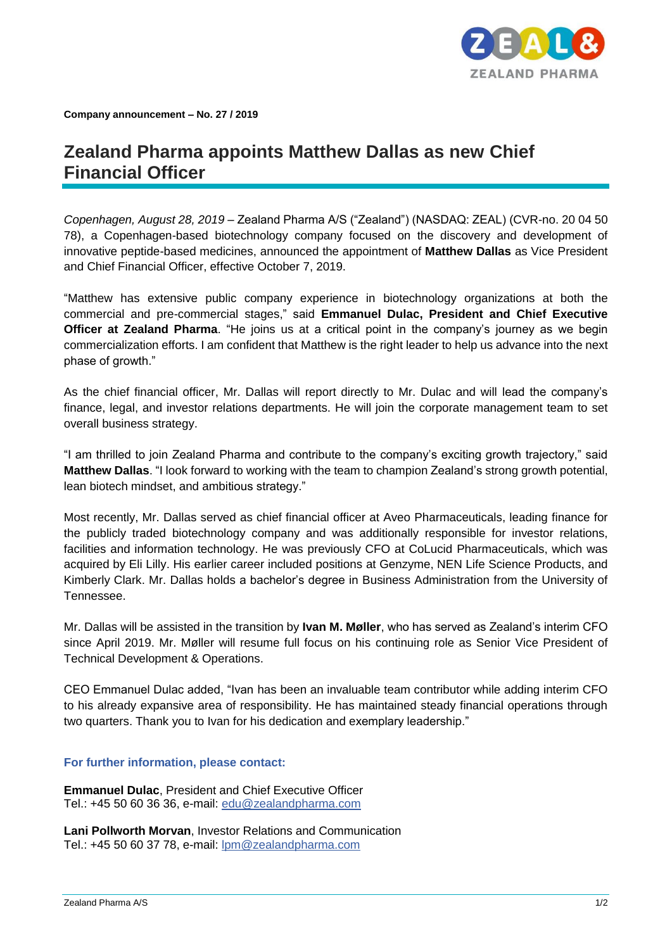

**Company announcement – No. 27 / 2019**

## **Zealand Pharma appoints Matthew Dallas as new Chief Financial Officer**

*Copenhagen, August 28, 2019 –* Zealand Pharma A/S ("Zealand") (NASDAQ: ZEAL) (CVR-no. 20 04 50 78), a Copenhagen-based biotechnology company focused on the discovery and development of innovative peptide-based medicines, announced the appointment of **Matthew Dallas** as Vice President and Chief Financial Officer, effective October 7, 2019.

"Matthew has extensive public company experience in biotechnology organizations at both the commercial and pre-commercial stages," said **Emmanuel Dulac, President and Chief Executive Officer at Zealand Pharma**. "He joins us at a critical point in the company's journey as we begin commercialization efforts. I am confident that Matthew is the right leader to help us advance into the next phase of growth."

As the chief financial officer, Mr. Dallas will report directly to Mr. Dulac and will lead the company's finance, legal, and investor relations departments. He will join the corporate management team to set overall business strategy.

"I am thrilled to join Zealand Pharma and contribute to the company's exciting growth trajectory," said **Matthew Dallas**. "I look forward to working with the team to champion Zealand's strong growth potential, lean biotech mindset, and ambitious strategy."

Most recently, Mr. Dallas served as chief financial officer at Aveo Pharmaceuticals, leading finance for the publicly traded biotechnology company and was additionally responsible for investor relations, facilities and information technology. He was previously CFO at CoLucid Pharmaceuticals, which was acquired by Eli Lilly. His earlier career included positions at Genzyme, NEN Life Science Products, and Kimberly Clark. Mr. Dallas holds a bachelor's degree in Business Administration from the University of Tennessee.

Mr. Dallas will be assisted in the transition by **Ivan M. Møller**, who has served as Zealand's interim CFO since April 2019. Mr. Møller will resume full focus on his continuing role as Senior Vice President of Technical Development & Operations.

CEO Emmanuel Dulac added, "Ivan has been an invaluable team contributor while adding interim CFO to his already expansive area of responsibility. He has maintained steady financial operations through two quarters. Thank you to Ivan for his dedication and exemplary leadership."

## **For further information, please contact:**

**Emmanuel Dulac**, President and Chief Executive Officer Tel.: +45 50 60 36 36, e-mail: [edu@zealandpharma.com](mailto:edu@zealandpharma.com)

**Lani Pollworth Morvan**, Investor Relations and Communication Tel.: +45 50 60 37 78, e-mail: [lpm@zealandpharma.com](mailto:lpm@zealandpharma.com)